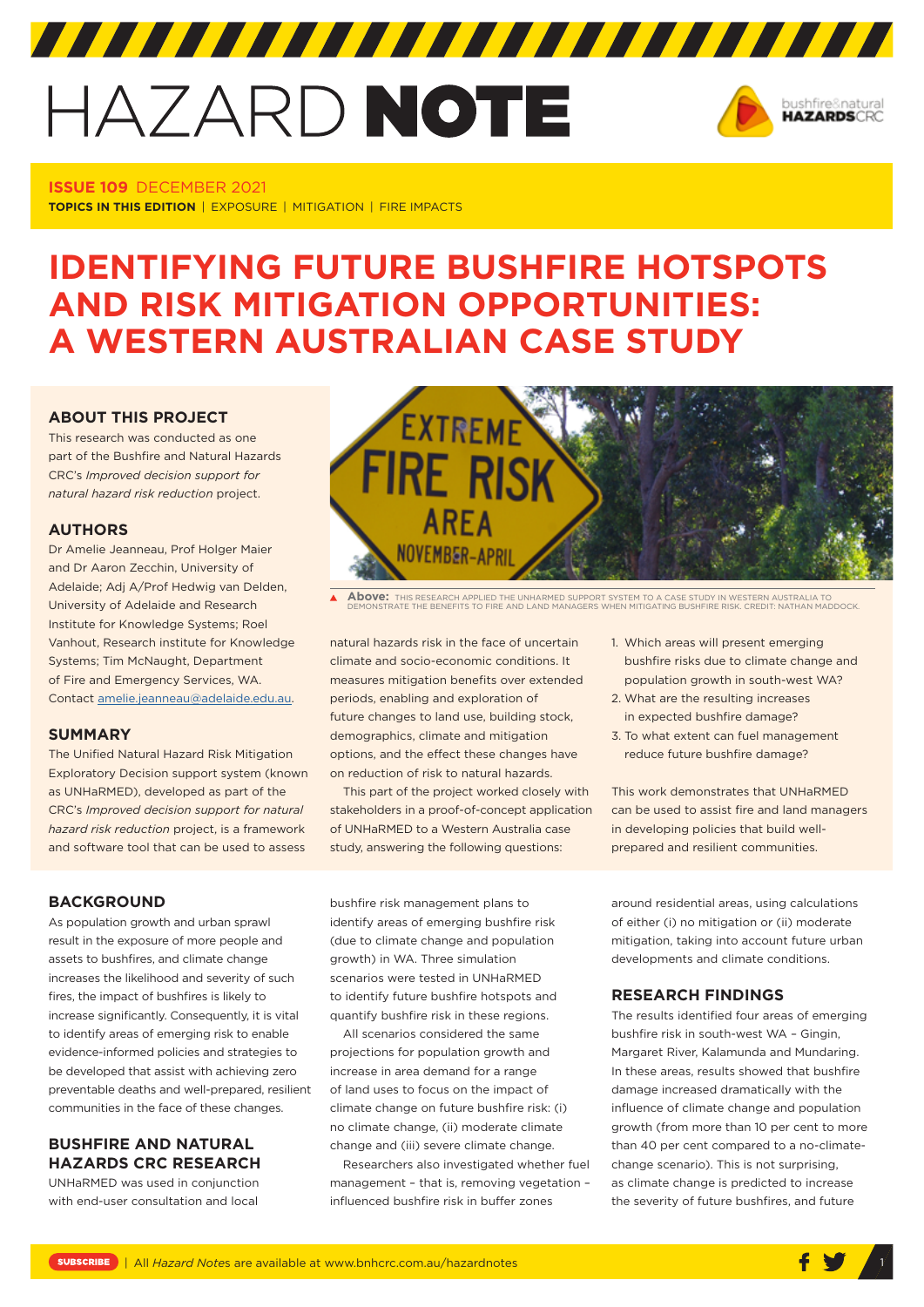# HAZARD NOTE



**ISSUE 109** DECEMBER 2021 **TOPICS IN THIS EDITION** | EXPOSURE | MITIGATION | FIRE IMPACTS

# **IDENTIFYING FUTURE BUSHFIRE HOTSPOTS AND RISK MITIGATION OPPORTUNITIES: A WESTERN AUSTRALIAN CASE STUDY**

### **ABOUT THIS PROJECT**

This research was conducted as one part of the Bushfire and Natural Hazards CRC's *Improved decision support for natural hazard risk reduction* project.

### **AUTHORS**

Dr Amelie Jeanneau, Prof Holger Maier and Dr Aaron Zecchin, University of Adelaide; Adj A/Prof Hedwig van Delden, University of Adelaide and Research Institute for Knowledge Systems; Roel Vanhout, Research institute for Knowledge Systems; Tim McNaught, Department of Fire and Emergency Services, WA. Contact [amelie.jeanneau@adelaide.edu.au.](mailto:amelie.jeanneau@adelaide.edu.au)

#### **SUMMARY**

The Unified Natural Hazard Risk Mitigation Exploratory Decision support system (known as UNHaRMED), developed as part of the CRC's *Improved decision support for natural hazard risk reduction* project, is a framework and software tool that can be used to assess



**Above:** THIS RESEARCH APPLIED THE UNHARMED SUPPORT SYSTEM TO A CASE STUDY IN WESTERN AUSTRALIA TO DEMONSTRATE THE BENEFITS TO FIRE AND LAND MANAGERS WHEN MITIGATING BUSHFIRE RISK. CREDIT: NATHAN MADDOCK.

natural hazards risk in the face of uncertain climate and socio-economic conditions. It measures mitigation benefits over extended periods, enabling and exploration of future changes to land use, building stock, demographics, climate and mitigation options, and the effect these changes have on reduction of risk to natural hazards.

This part of the project worked closely with stakeholders in a proof-of-concept application of UNHaRMED to a Western Australia case study, answering the following questions:

**BACKGROUND** 

As population growth and urban sprawl result in the exposure of more people and assets to bushfires, and climate change increases the likelihood and severity of such fires, the impact of bushfires is likely to increase significantly. Consequently, it is vital to identify areas of emerging risk to enable evidence-informed policies and strategies to be developed that assist with achieving zero preventable deaths and well-prepared, resilient communities in the face of these changes.

# **BUSHFIRE AND NATURAL HAZARDS CRC RESEARCH**

UNHaRMED was used in conjunction with end-user consultation and local

bushfire risk management plans to identify areas of emerging bushfire risk (due to climate change and population growth) in WA. Three simulation scenarios were tested in UNHaRMED to identify future bushfire hotspots and quantify bushfire risk in these regions.

All scenarios considered the same projections for population growth and increase in area demand for a range of land uses to focus on the impact of climate change on future bushfire risk: (i) no climate change, (ii) moderate climate change and (iii) severe climate change.

Researchers also investigated whether fuel management – that is, removing vegetation – influenced bushfire risk in buffer zones

- 1. Which areas will present emerging bushfire risks due to climate change and population growth in south-west WA?
- 2. What are the resulting increases in expected bushfire damage?
- 3. To what extent can fuel management reduce future bushfire damage?

This work demonstrates that UNHaRMED can be used to assist fire and land managers in developing policies that build wellprepared and resilient communities.

around residential areas, using calculations of either (i) no mitigation or (ii) moderate mitigation, taking into account future urban developments and climate conditions.

## **RESEARCH FINDINGS**

The results identified four areas of emerging bushfire risk in south-west WA – Gingin, Margaret River, Kalamunda and Mundaring. In these areas, results showed that bushfire damage increased dramatically with the influence of climate change and population growth (from more than 10 per cent to more than 40 per cent compared to a no-climatechange scenario). This is not surprising, as climate change is predicted to increase the severity of future bushfires, and future